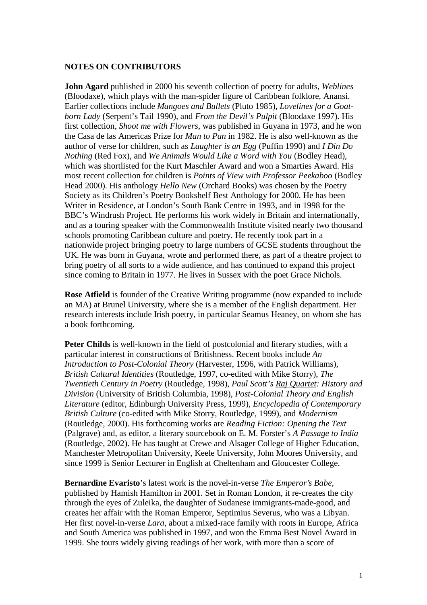## **NOTES ON CONTRIBUTORS**

**John Agard** published in 2000 his seventh collection of poetry for adults, *Weblines* (Bloodaxe), which plays with the man-spider figure of Caribbean folklore, Anansi. Earlier collections include *Mangoes and Bullets* (Pluto 1985), *Lovelines for a Goatborn Lady* (Serpent's Tail 1990), and *From the Devil's Pulpit* (Bloodaxe 1997). His first collection, *Shoot me with Flowers,* was published in Guyana in 1973, and he won the Casa de las Americas Prize for *Man to Pan* in 1982. He is also well-known as the author of verse for children, such as *Laughter is an Egg* (Puffin 1990) and *I Din Do Nothing* (Red Fox), and *We Animals Would Like a Word with You* (Bodley Head), which was shortlisted for the Kurt Maschler Award and won a Smarties Award. His most recent collection for children is *Points of View with Professor Peekaboo* (Bodley Head 2000). His anthology *Hello New* (Orchard Books) was chosen by the Poetry Society as its Children's Poetry Bookshelf Best Anthology for 2000. He has been Writer in Residence, at London's South Bank Centre in 1993, and in 1998 for the BBC's Windrush Project. He performs his work widely in Britain and internationally, and as a touring speaker with the Commonwealth Institute visited nearly two thousand schools promoting Caribbean culture and poetry. He recently took part in a nationwide project bringing poetry to large numbers of GCSE students throughout the UK. He was born in Guyana, wrote and performed there, as part of a theatre project to bring poetry of all sorts to a wide audience, and has continued to expand this project since coming to Britain in 1977. He lives in Sussex with the poet Grace Nichols.

**Rose Atfield** is founder of the Creative Writing programme (now expanded to include an MA) at Brunel University, where she is a member of the English department. Her research interests include Irish poetry, in particular Seamus Heaney, on whom she has a book forthcoming.

**Peter Childs** is well-known in the field of postcolonial and literary studies, with a particular interest in constructions of Britishness. Recent books include *An Introduction to Post-Colonial Theory* (Harvester, 1996, with Patrick Williams), *British Cultural Identities* (Routledge, 1997, co-edited with Mike Storry), *The Twentieth Century in Poetry* (Routledge, 1998), *Paul Scott's Raj Quartet: History and Division* (University of British Columbia, 1998), *Post-Colonial Theory and English Literature* (editor, Edinburgh University Press, 1999), *Encyclopedia of Contemporary British Culture* (co-edited with Mike Storry, Routledge, 1999), and *Modernism* (Routledge, 2000). His forthcoming works are *Reading Fiction: Opening the Text* (Palgrave) and, as editor, a literary sourcebook on E. M. Forster's *A Passage to India* (Routledge, 2002). He has taught at Crewe and Alsager College of Higher Education, Manchester Metropolitan University, Keele University, John Moores University, and since 1999 is Senior Lecturer in English at Cheltenham and Gloucester College.

**Bernardine Evaristo**'s latest work is the novel-in-verse *The Emperor's Babe,* published by Hamish Hamilton in 2001. Set in Roman London, it re-creates the city through the eyes of Zuleika, the daughter of Sudanese immigrants-made-good, and creates her affair with the Roman Emperor, Septimius Severus, who was a Libyan. Her first novel-in-verse *Lara*, about a mixed-race family with roots in Europe, Africa and South America was published in 1997, and won the Emma Best Novel Award in 1999. She tours widely giving readings of her work, with more than a score of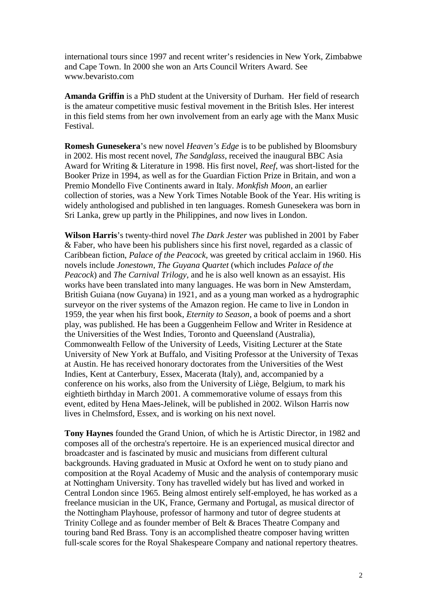international tours since 1997 and recent writer's residencies in New York, Zimbabwe and Cape Town. In 2000 she won an Arts Council Writers Award. See www.bevaristo.com

**Amanda Griffin** is a PhD student at the University of Durham. Her field of research is the amateur competitive music festival movement in the British Isles. Her interest in this field stems from her own involvement from an early age with the Manx Music Festival.

**Romesh Gunesekera**'s new novel *Heaven's Edge* is to be published by Bloomsbury in 2002. His most recent novel, *The Sandglass*, received the inaugural BBC Asia Award for Writing & Literature in 1998. His first novel, *Reef*, was short-listed for the Booker Prize in 1994, as well as for the Guardian Fiction Prize in Britain, and won a Premio Mondello Five Continents award in Italy. *Monkfish Moon*, an earlier collection of stories, was a New York Times Notable Book of the Year. His writing is widely anthologised and published in ten languages. Romesh Gunesekera was born in Sri Lanka, grew up partly in the Philippines, and now lives in London.

**Wilson Harris**'s twenty-third novel *The Dark Jester* was published in 2001 by Faber & Faber, who have been his publishers since his first novel, regarded as a classic of Caribbean fiction, *Palace of the Peacock,* was greeted by critical acclaim in 1960. His novels include *Jonestown, The Guyana Quartet* (which includes *Palace of the Peacock*) and *The Carnival Trilogy,* and he is also well known as an essayist. His works have been translated into many languages. He was born in New Amsterdam, British Guiana (now Guyana) in 1921, and as a young man worked as a hydrographic surveyor on the river systems of the Amazon region. He came to live in London in 1959, the year when his first book, *Eternity to Season,* a book of poems and a short play, was published. He has been a Guggenheim Fellow and Writer in Residence at the Universities of the West Indies, Toronto and Queensland (Australia), Commonwealth Fellow of the University of Leeds, Visiting Lecturer at the State University of New York at Buffalo, and Visiting Professor at the University of Texas at Austin. He has received honorary doctorates from the Universities of the West Indies, Kent at Canterbury, Essex, Macerata (Italy), and, accompanied by a conference on his works, also from the University of Liège, Belgium, to mark his eightieth birthday in March 2001. A commemorative volume of essays from this event, edited by Hena Maes-Jelinek, will be published in 2002. Wilson Harris now lives in Chelmsford, Essex, and is working on his next novel.

**Tony Haynes** founded the Grand Union, of which he is Artistic Director, in 1982 and composes all of the orchestra's repertoire. He is an experienced musical director and broadcaster and is fascinated by music and musicians from different cultural backgrounds. Having graduated in Music at Oxford he went on to study piano and composition at the Royal Academy of Music and the analysis of contemporary music at Nottingham University. Tony has travelled widely but has lived and worked in Central London since 1965. Being almost entirely self-employed, he has worked as a freelance musician in the UK, France, Germany and Portugal, as musical director of the Nottingham Playhouse, professor of harmony and tutor of degree students at Trinity College and as founder member of Belt & Braces Theatre Company and touring band Red Brass. Tony is an accomplished theatre composer having written full-scale scores for the Royal Shakespeare Company and national repertory theatres.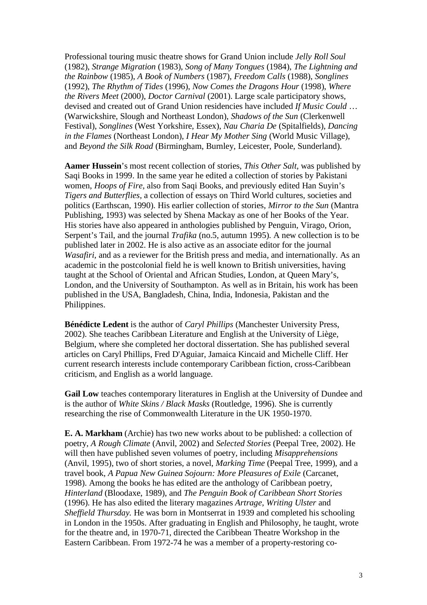Professional touring music theatre shows for Grand Union include *Jelly Roll Soul* (1982), *Strange Migration* (1983), *Song of Many Tongues* (1984), *The Lightning and the Rainbow* (1985), *A Book of Numbers* (1987), *Freedom Calls* (1988), *Songlines* (1992), *The Rhythm of Tides* (1996), *Now Comes the Dragons Hour* (1998), *Where the Rivers Meet* (2000), *Doctor Carnival* (2001). Large scale participatory shows, devised and created out of Grand Union residencies have included *If Music Could* … (Warwickshire, Slough and Northeast London), *Shadows of the Sun* (Clerkenwell Festival), *Songlines* (West Yorkshire, Essex), *Nau Charia De* (Spitalfields), *Dancing in the Flames* (Northeast London), *I Hear My Mother Sing* (World Music Village), and *Beyond the Silk Road* (Birmingham, Burnley, Leicester, Poole, Sunderland).

**Aamer Hussein**'s most recent collection of stories, *This Other Salt,* was published by Saqi Books in 1999. In the same year he edited a collection of stories by Pakistani women, *Hoops of Fire,* also from Saqi Books, and previously edited Han Suyin's *Tigers and Butterflies,* a collection of essays on Third World cultures, societies and politics (Earthscan, 1990). His earlier collection of stories, *Mirror to the Sun* (Mantra Publishing, 1993) was selected by Shena Mackay as one of her Books of the Year. His stories have also appeared in anthologies published by Penguin, Virago, Orion, Serpent's Tail, and the journal *Trafika* (no.5, autumn 1995). A new collection is to be published later in 2002. He is also active as an associate editor for the journal *Wasafiri,* and as a reviewer for the British press and media, and internationally. As an academic in the postcolonial field he is well known to British universities, having taught at the School of Oriental and African Studies, London, at Queen Mary's, London, and the University of Southampton. As well as in Britain, his work has been published in the USA, Bangladesh, China, India, Indonesia, Pakistan and the Philippines.

**Bénédicte Ledent** is the author of *Caryl Phillips* (Manchester University Press, 2002). She teaches Caribbean Literature and English at the University of Liège, Belgium, where she completed her doctoral dissertation. She has published several articles on Caryl Phillips, Fred D'Aguiar, Jamaica Kincaid and Michelle Cliff. Her current research interests include contemporary Caribbean fiction, cross-Caribbean criticism, and English as a world language.

**Gail Low** teaches contemporary literatures in English at the University of Dundee and is the author of *White Skins / Black Masks* (Routledge, 1996). She is currently researching the rise of Commonwealth Literature in the UK 1950-1970.

**E. A. Markham** (Archie) has two new works about to be published: a collection of poetry, *A Rough Climate* (Anvil, 2002) and *Selected Stories* (Peepal Tree, 2002). He will then have published seven volumes of poetry, including *Misapprehensions* (Anvil, 1995), two of short stories, a novel, *Marking Time* (Peepal Tree, 1999), and a travel book, *A Papua New Guinea Sojourn: More Pleasures of Exile* (Carcanet, 1998). Among the books he has edited are the anthology of Caribbean poetry, *Hinterland* (Bloodaxe, 1989), and *The Penguin Book of Caribbean Short Stories* (1996). He has also edited the literary magazines *Artrage, Writing Ulster* and *Sheffield Thursday.* He was born in Montserrat in 1939 and completed his schooling in London in the 1950s. After graduating in English and Philosophy, he taught, wrote for the theatre and, in 1970-71, directed the Caribbean Theatre Workshop in the Eastern Caribbean. From 1972-74 he was a member of a property-restoring co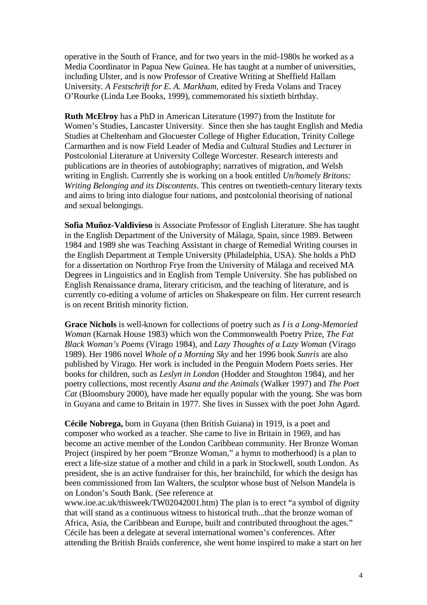operative in the South of France, and for two years in the mid-1980s he worked as a Media Coordinator in Papua New Guinea. He has taught at a number of universities, including Ulster, and is now Professor of Creative Writing at Sheffield Hallam University. *A Festschrift for E. A. Markham,* edited by Freda Volans and Tracey O'Rourke (Linda Lee Books, 1999), commemorated his sixtieth birthday.

**Ruth McElroy** has a PhD in American Literature (1997) from the Institute for Women's Studies, Lancaster University. Since then she has taught English and Media Studies at Cheltenham and Glocuester College of Higher Education, Trinity College Carmarthen and is now Field Leader of Media and Cultural Studies and Lecturer in Postcolonial Literature at University College Worcester. Research interests and publications are in theories of autobiography; narratives of migration, and Welsh writing in English. Currently she is working on a book entitled *Un/homely Britons: Writing Belonging and its Discontents*. This centres on twentieth-century literary texts and aims to bring into dialogue four nations, and postcolonial theorising of national and sexual belongings.

**Sofia Muñoz-Valdivieso** is Associate Professor of English Literature. She has taught in the English Department of the University of Málaga, Spain, since 1989. Between 1984 and 1989 she was Teaching Assistant in charge of Remedial Writing courses in the English Department at Temple University (Philadelphia, USA). She holds a PhD for a dissertation on Northrop Frye from the University of Málaga and received MA Degrees in Linguistics and in English from Temple University. She has published on English Renaissance drama, literary criticism, and the teaching of literature, and is currently co-editing a volume of articles on Shakespeare on film. Her current research is on recent British minority fiction.

**Grace Nichols** is well-known for collections of poetry such as *I is a Long-Memoried Woman* (Karnak House 1983) which won the Commonwealth Poetry Prize, *The Fat Black Woman's Poems* (Virago 1984), and *Lazy Thoughts of a Lazy Woman* (Virago 1989). Her 1986 novel *Whole of a Morning Sky* and her 1996 book *Sunris* are also published by Virago. Her work is included in the Penguin Modern Poets series. Her books for children, such as *Leslyn in London* (Hodder and Stoughton 1984), and her poetry collections, most recently *Asana and the Animals* (Walker 1997) and *The Poet Cat* (Bloomsbury 2000), have made her equally popular with the young. She was born in Guyana and came to Britain in 1977. She lives in Sussex with the poet John Agard.

**Cécile Nobrega,** born in Guyana (then British Guiana) in 1919, is a poet and composer who worked as a teacher. She came to live in Britain in 1969, and has become an active member of the London Caribbean community. Her Bronze Woman Project (inspired by her poem "Bronze Woman," a hymn to motherhood) is a plan to erect a life-size statue of a mother and child in a park in Stockwell, south London. As president, she is an active fundraiser for this, her brainchild, for which the design has been commissioned from Ian Walters, the sculptor whose bust of Nelson Mandela is on London's South Bank. (See reference at

www.ioe.ac.uk/thisweek/TW02042001.htm) The plan is to erect "a symbol of dignity that will stand as a continuous witness to historical truth...that the bronze woman of Africa, Asia, the Caribbean and Europe, built and contributed throughout the ages." Cécile has been a delegate at several international women's conferences. After attending the British Braids conference, she went home inspired to make a start on her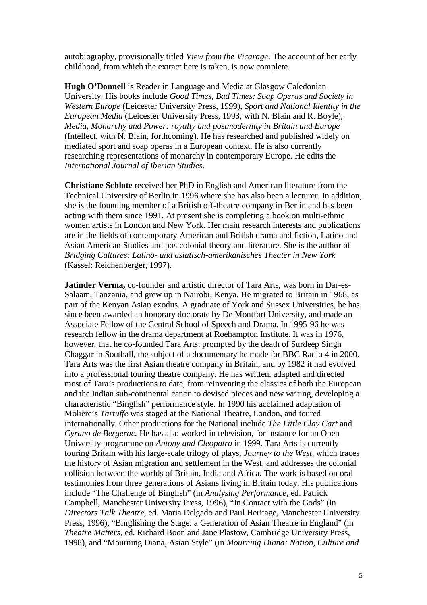autobiography, provisionally titled *View from the Vicarage*. The account of her early childhood, from which the extract here is taken, is now complete.

**Hugh O'Donnell** is Reader in Language and Media at Glasgow Caledonian University. His books include *Good Times, Bad Times: Soap Operas and Society in Western Europe* (Leicester University Press, 1999), *Sport and National Identity in the European Media* (Leicester University Press, 1993, with N. Blain and R. Boyle), *Media, Monarchy and Power: royalty and postmodernity in Britain and Europe* (Intellect, with N. Blain, forthcoming). He has researched and published widely on mediated sport and soap operas in a European context. He is also currently researching representations of monarchy in contemporary Europe. He edits the *International Journal of Iberian Studies*.

**Christiane Schlote** received her PhD in English and American literature from the Technical University of Berlin in 1996 where she has also been a lecturer. In addition, she is the founding member of a British off-theatre company in Berlin and has been acting with them since 1991. At present she is completing a book on multi-ethnic women artists in London and New York. Her main research interests and publications are in the fields of contemporary American and British drama and fiction, Latino and Asian American Studies and postcolonial theory and literature. She is the author of *Bridging Cultures: Latino- und asiatisch-amerikanisches Theater in New York* (Kassel: Reichenberger, 1997).

**Jatinder Verma,** co-founder and artistic director of Tara Arts, was born in Dar-es-Salaam, Tanzania, and grew up in Nairobi, Kenya. He migrated to Britain in 1968, as part of the Kenyan Asian exodus. A graduate of York and Sussex Universities, he has since been awarded an honorary doctorate by De Montfort University, and made an Associate Fellow of the Central School of Speech and Drama. In 1995-96 he was research fellow in the drama department at Roehampton Institute. It was in 1976, however, that he co-founded Tara Arts, prompted by the death of Surdeep Singh Chaggar in Southall, the subject of a documentary he made for BBC Radio 4 in 2000. Tara Arts was the first Asian theatre company in Britain, and by 1982 it had evolved into a professional touring theatre company. He has written, adapted and directed most of Tara's productions to date, from reinventing the classics of both the European and the Indian sub-continental canon to devised pieces and new writing, developing a characteristic "Binglish" performance style. In 1990 his acclaimed adaptation of Molière's *Tartuffe* was staged at the National Theatre, London, and toured internationally. Other productions for the National include *The Little Clay Cart* and *Cyrano de Bergerac.* He has also worked in television, for instance for an Open University programme on *Antony and Cleopatra* in 1999*.* Tara Arts is currently touring Britain with his large-scale trilogy of plays, *Journey to the West,* which traces the history of Asian migration and settlement in the West, and addresses the colonial collision between the worlds of Britain, India and Africa. The work is based on oral testimonies from three generations of Asians living in Britain today. His publications include "The Challenge of Binglish" (in *Analysing Performance,* ed. Patrick Campbell, Manchester University Press, 1996), "In Contact with the Gods" (in *Directors Talk Theatre,* ed. Maria Delgado and Paul Heritage, Manchester University Press, 1996), "Binglishing the Stage: a Generation of Asian Theatre in England" (in *Theatre Matters,* ed. Richard Boon and Jane Plastow, Cambridge University Press, 1998), and "Mourning Diana, Asian Style" (in *Mourning Diana: Nation, Culture and*